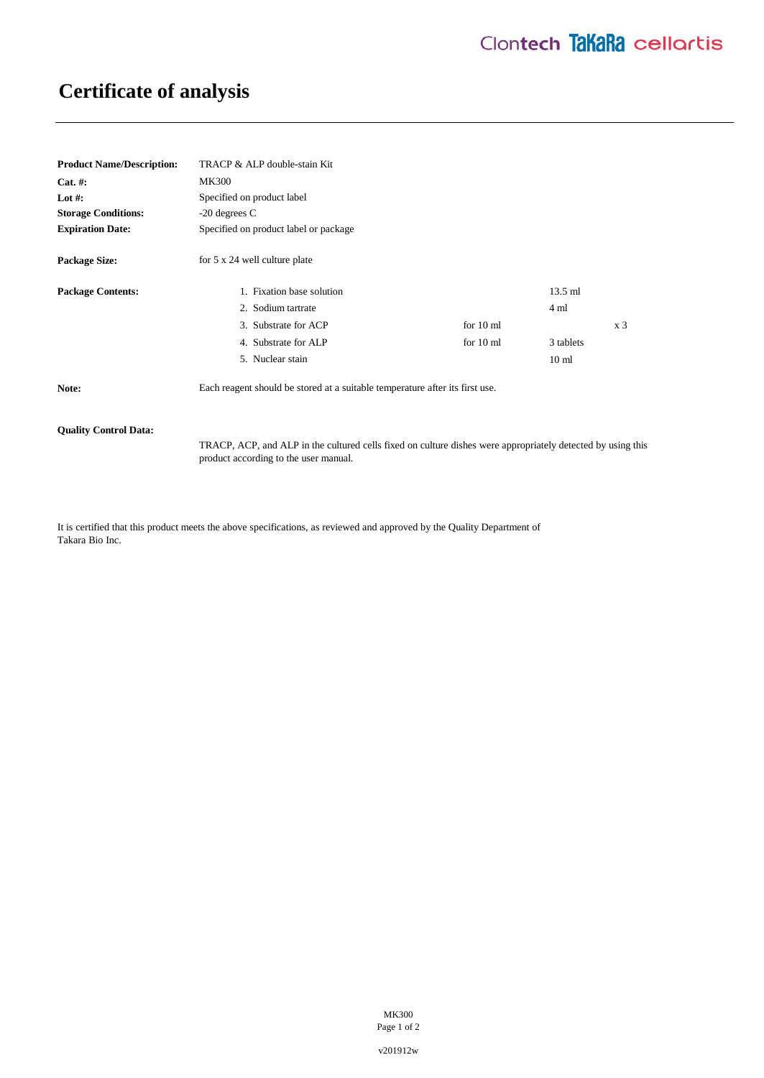# **Certificate of analysis**

| <b>Product Name/Description:</b> | TRACP & ALP double-stain Kit                                                 |                     |                  |                |
|----------------------------------|------------------------------------------------------------------------------|---------------------|------------------|----------------|
| $Cat. \#:$                       | <b>MK300</b>                                                                 |                     |                  |                |
| Lot #:                           | Specified on product label                                                   |                     |                  |                |
| <b>Storage Conditions:</b>       | $-20$ degrees C                                                              |                     |                  |                |
| <b>Expiration Date:</b>          | Specified on product label or package                                        |                     |                  |                |
| <b>Package Size:</b>             | for 5 x 24 well culture plate                                                |                     |                  |                |
| <b>Package Contents:</b>         | 1. Fixation base solution                                                    |                     | $13.5$ ml        |                |
|                                  | 2. Sodium tartrate                                                           |                     | 4 ml             |                |
|                                  | 3. Substrate for ACP                                                         | for $10 \text{ ml}$ |                  | x <sub>3</sub> |
|                                  | 4. Substrate for ALP                                                         | for $10 \text{ ml}$ | 3 tablets        |                |
|                                  | 5. Nuclear stain                                                             |                     | 10 <sub>ml</sub> |                |
| Note:                            | Each reagent should be stored at a suitable temperature after its first use. |                     |                  |                |

### **Quality Control Data:**

TRACP, ACP, and ALP in the cultured cells fixed on culture dishes were appropriately detected by using this product according to the user manual.

It is certified that this product meets the above specifications, as reviewed and approved by the Quality Department of Takara Bio Inc.

> MK300 Page 1 of 2

v201912w